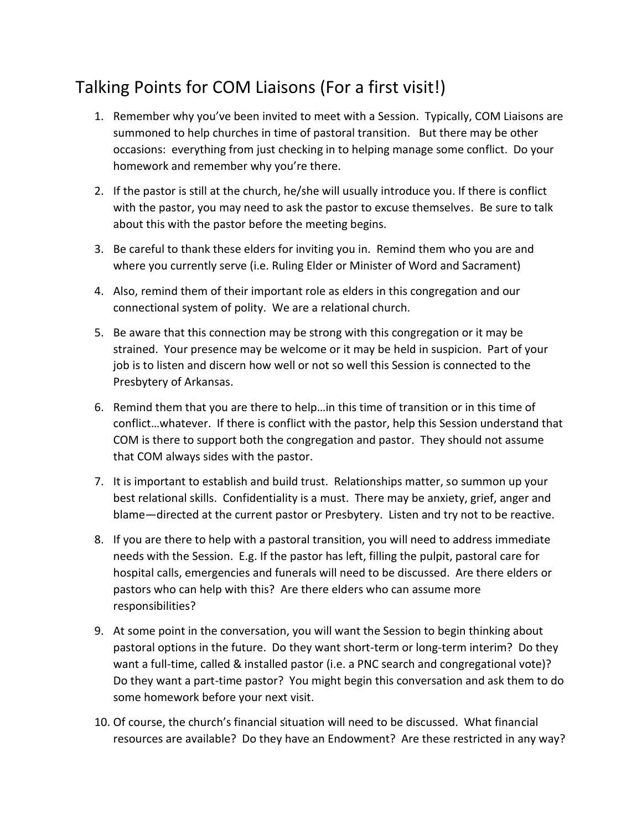## Talking Points for COM Liaisons (For a first visit!)

- 1. Remember why you've been invited to meet with a Session. Typically, COM Liaisons are summoned to help churches in time of pastoral transition. But there may be other occasions: everything from just checking in to helping manage some conflict. Do your homework and remember why you're there.
- 2. If the pastor is still at the church, he/she will usually introduce you. If there is conflict with the pastor, you may need to ask the pastor to excuse themselves. Be sure to talk about this with the pastor before the meeting begins.
- 3. Be careful to thank these elders for inviting you in. Remind them who you are and where you currently serve (i.e. Ruling Elder or Minister of Word and Sacrament)
- 4. Also, remind them of their important role as elders in this congregation and our connectional system of polity. We are a relational church.
- 5. Be aware that this connection may be strong with this congregation or it may be strained. Your presence may be welcome or it may be held in suspicion. Part of your job is to listen and discern how well or not so well this Session is connected to the Presbytery of Arkansas.
- 6. Remind them that you are there to help…in this time of transition or in this time of conflict…whatever. If there is conflict with the pastor, help this Session understand that COM is there to support both the congregation and pastor. They should not assume that COM always sides with the pastor.
- 7. It is important to establish and build trust. Relationships matter, so summon up your best relational skills. Confidentiality is a must. There may be anxiety, grief, anger and blame—directed at the current pastor or Presbytery. Listen and try not to be reactive.
- 8. If you are there to help with a pastoral transition, you will need to address immediate needs with the Session. E.g. If the pastor has left, filling the pulpit, pastoral care for hospital calls, emergencies and funerals will need to be discussed. Are there elders or pastors who can help with this? Are there elders who can assume more responsibilities?
- 9. At some point in the conversation, you will want the Session to begin thinking about pastoral options in the future. Do they want short-term or long-term interim? Do they want a full-time, called & installed pastor (i.e. a PNC search and congregational vote)? Do they want a part-time pastor? You might begin this conversation and ask them to do some homework before your next visit.
- 10. Of course, the church's financial situation will need to be discussed. What financial resources are available? Do they have an Endowment? Are these restricted in any way?